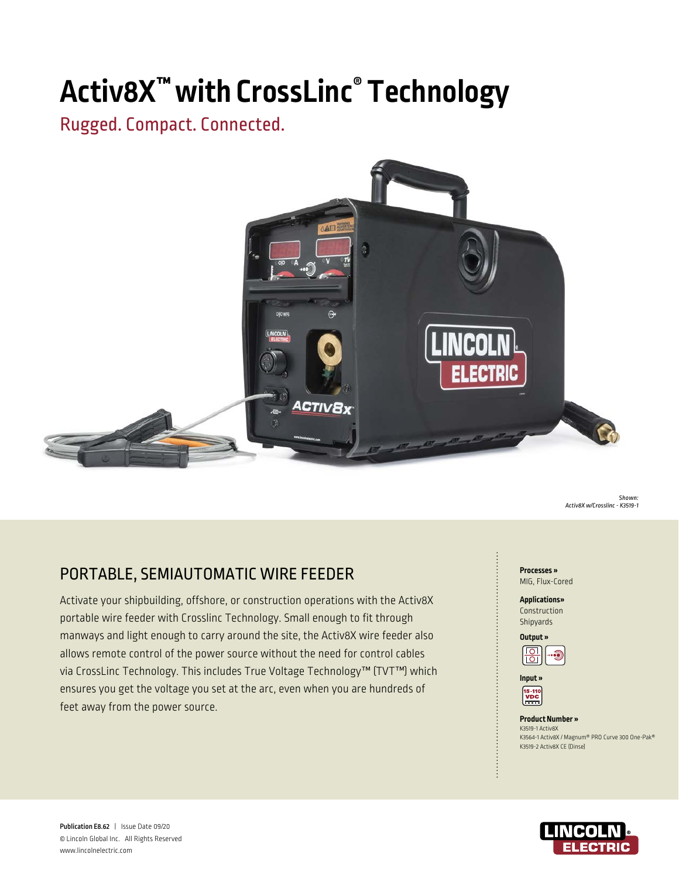# **Activ8X™ with CrossLinc® Technology**

# Rugged. Compact. Connected.



*Shown: Activ8X w/Crosslinc - K3519-1*

# **PORTABLE, SEMIAUTOMATIC WIRE FEEDER PORTABLE, SEMIAUTOMATIC WIRE FEEDER**

Activate your shipbuilding, offshore, or construction operations with the Activ8X portable wire feeder with Crosslinc Technology. Small enough to fit through manways and light enough to carry around the site, the Activ8X wire feeder also allows remote control of the power source without the need for control cables via CrossLinc Technology. This includes True Voltage Technology™ (TVT™) which ensures you get the voltage you set at the arc, even when you are hundreds of feet away from the power source.

MIG, Flux-Cored

**Applications»**  Construction Shipyards





**Product Number »** 

K3519-1 Activ8X K3564-1 Activ8X / Magnum® PRO Curve 300 One-Pak® K3519-2 Activ8X CE (Dinse)



Publication E8.62 | Issue Date 09/20 © Lincoln Global Inc. All Rights Reserved www.lincolnelectric.com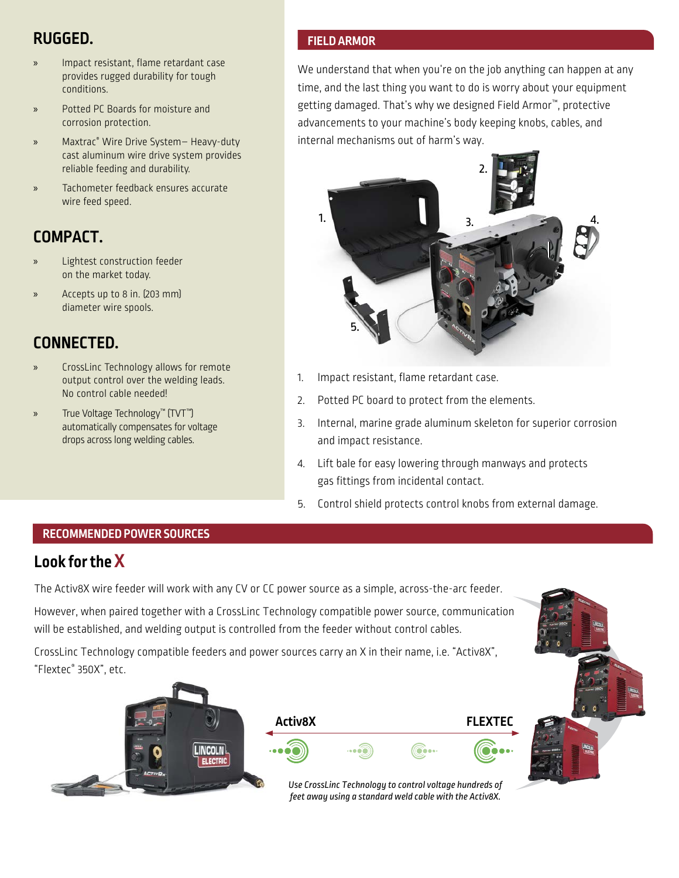# **RUGGED.**

- » Impact resistant, flame retardant case provides rugged durability for tough conditions.
- » Potted PC Boards for moisture and corrosion protection.
- » Maxtrac® Wire Drive System– Heavy-duty cast aluminum wire drive system provides reliable feeding and durability.
- » Tachometer feedback ensures accurate wire feed speed.

# **COMPACT.**

- Lightest construction feeder on the market today.
- » Accepts up to 8 in. (203 mm) diameter wire spools.

# **CONNECTED.**

- » CrossLinc Technology allows for remote output control over the welding leads. No control cable needed!
- » True Voltage Technology™ (TVT™) automatically compensates for voltage drops across long welding cables.

## **FIELD ARMOR**

We understand that when you're on the job anything can happen at any time, and the last thing you want to do is worry about your equipment getting damaged. That's why we designed Field Armor<sup>™</sup>, protective advancements to your machine's body keeping knobs, cables, and internal mechanisms out of harm's way.



- 1. Impact resistant, flame retardant case.
- 2. Potted PC board to protect from the elements.
- 3. Internal, marine grade aluminum skeleton for superior corrosion and impact resistance.
- 4. Lift bale for easy lowering through manways and protects gas fittings from incidental contact.
- 5. Control shield protects control knobs from external damage.

## **RECOMMENDED POWER SOURCES**

# **Look for the X**

The Activ8X wire feeder will work with any CV or CC power source as a simple, across-the-arc feeder. However, when paired together with a CrossLinc Technology compatible power source, communication will be established, and welding output is controlled from the feeder without control cables.

CrossLinc Technology compatible feeders and power sources carry an X in their name, i.e. "Activ8X", "Flextec® 350X", etc.

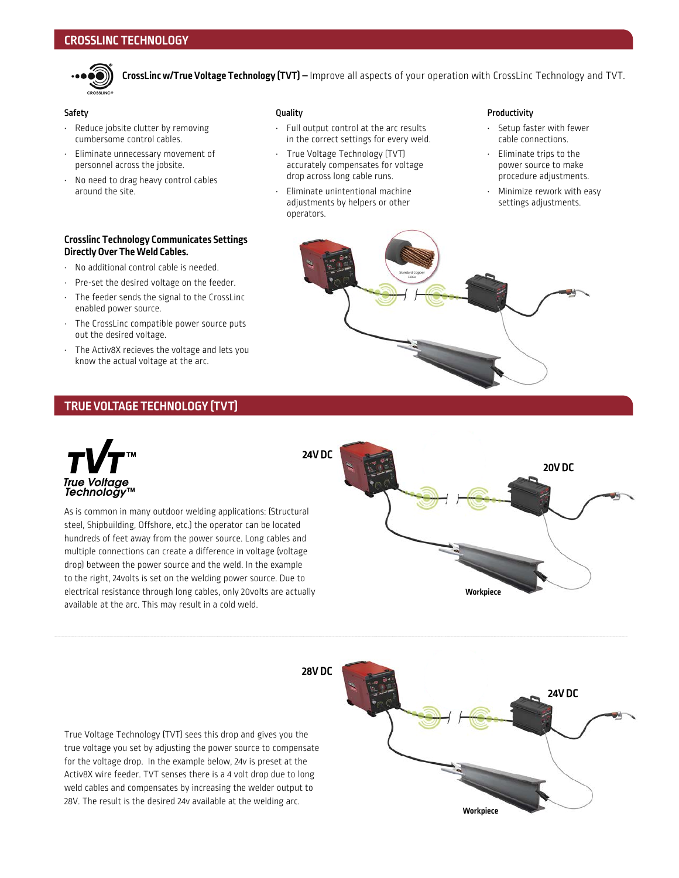

**CrossLinc w/True Voltage Technology (TVT) –** Improve all aspects of your operation with CrossLinc Technology and TVT.

### Safety

- Reduce jobsite clutter by removing cumbersome control cables.
- Eliminate unnecessary movement of personnel across the jobsite.
- No need to drag heavy control cables around the site.

#### **Crosslinc Technology Communicates Settings Directly Over The Weld Cables.**

- No additional control cable is needed.
- Pre-set the desired voltage on the feeder.
- The feeder sends the signal to the CrossLinc enabled power source.
- The CrossLinc compatible power source puts out the desired voltage.
- The Activ8X recieves the voltage and lets you know the actual voltage at the arc.

#### Quality

- Full output control at the arc results in the correct settings for every weld.
- True Voltage Technology (TVT) accurately compensates for voltage drop across long cable runs.
- Eliminate unintentional machine adjustments by helpers or other operators.

#### Productivity

- Setup faster with fewer cable connections.
- Eliminate trips to the power source to make procedure adjustments.
- Minimize rework with easy settings adjustments.



## **TRUE VOLTAGE TECHNOLOGY (TVT)**



As is common in many outdoor welding applications: (Structural steel, Shipbuilding, Offshore, etc.) the operator can be located hundreds of feet away from the power source. Long cables and multiple connections can create a difference in voltage (voltage drop) between the power source and the weld. In the example to the right, 24volts is set on the welding power source. Due to electrical resistance through long cables, only 20volts are actually available at the arc. This may result in a cold weld.



True Voltage Technology (TVT) sees this drop and gives you the true voltage you set by adjusting the power source to compensate for the voltage drop. In the example below, 24v is preset at the Activ8X wire feeder. TVT senses there is a 4 volt drop due to long weld cables and compensates by increasing the welder output to 28V. The result is the desired 24v available at the welding arc.

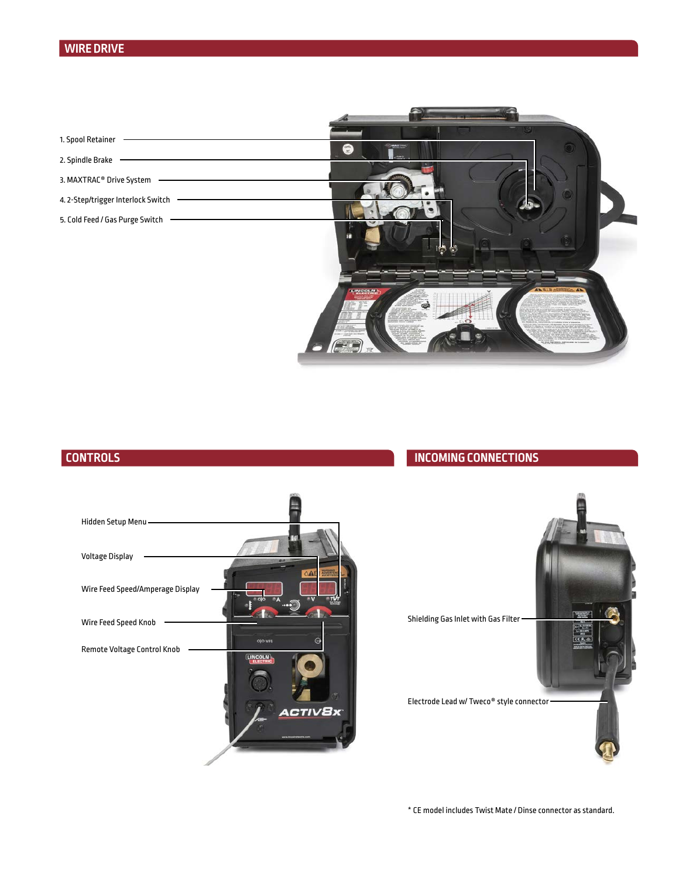## **WIRE DRIVE**



## **CONTROLS**

## **INCOMING CONNECTIONS**





\* CE model includes Twist Mate / Dinse connector as standard.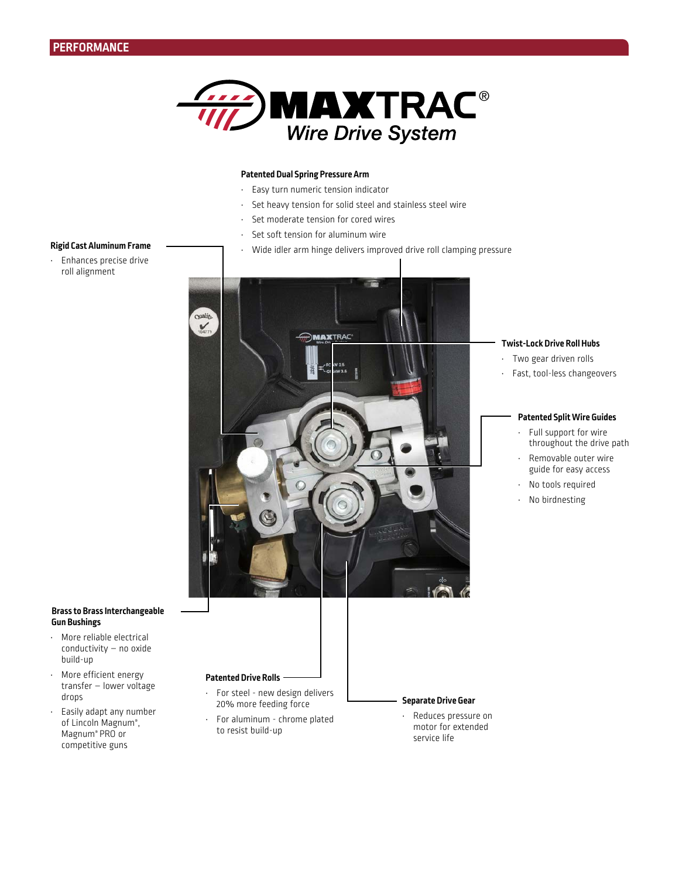

## **Patented Dual Spring Pressure Arm**

- Easy turn numeric tension indicator
- Set heavy tension for solid steel and stainless steel wire
- Set moderate tension for cored wires
- Set soft tension for aluminum wire
- Wide idler arm hinge delivers improved drive roll clamping pressure



#### **Twist-Lock Drive Roll Hubs**

- Two gear driven rolls
- Fast, tool-less changeovers

## **Patented Split Wire Guides**

- Full support for wire throughout the drive path
- Removable outer wire guide for easy access
- No tools required
- No birdnesting

### **Rigid Cast Aluminum Frame**

• Enhances precise drive roll alignment

### **Brass to Brass Interchangeable Gun Bushings**

- More reliable electrical conductivity – no oxide build-up
- More efficient energy transfer – lower voltage drops
- Easily adapt any number of Lincoln Magnum®, Magnum® PRO or competitive guns

**Patented Drive Rolls**

- For steel new design delivers 20% more feeding force
- For aluminum chrome plated to resist build-up

## **Separate Drive Gear**

• Reduces pressure on motor for extended service life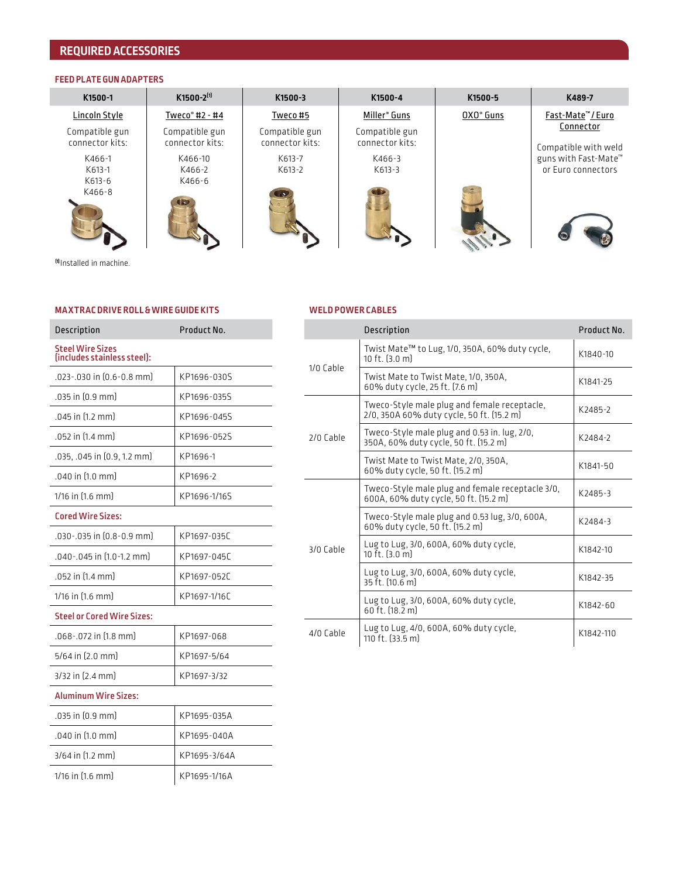## **REQUIRED ACCESSORIES**

## **FEED PLATE GUN ADAPTERS**

| K1500-1                             | $K1500 - 2^{[1]}$          | K1500-3          | K1500-4                  | K1500-5               | K489-7                                     |
|-------------------------------------|----------------------------|------------------|--------------------------|-----------------------|--------------------------------------------|
| Lincoln Style                       | Tweco <sup>®</sup> #2 - #4 | Tweco #5         | Miller <sup>®</sup> Guns | OXO <sup>®</sup> Guns | Fast-Mate™/Euro                            |
| Compatible gun                      | Compatible gun             | Compatible gun   | Compatible gun           |                       | Connector                                  |
| connector kits:                     | connector kits:            | connector kits:  | connector kits:          |                       | Compatible with weld                       |
| K466-1<br>K613-1                    | K466-10<br>K466-2          | K613-7<br>K613-2 | K466-3<br>K613-3         |                       | guns with Fast-Mate™<br>or Euro connectors |
| K613-6                              | K466-6                     |                  |                          |                       |                                            |
| K466-8                              | $\sqrt{2}$                 |                  |                          |                       |                                            |
|                                     |                            |                  |                          |                       |                                            |
|                                     |                            |                  |                          |                       |                                            |
| <sup>fo</sup> Installed in machine. |                            |                  |                          |                       |                                            |
|                                     |                            |                  |                          |                       |                                            |

## **MA XTR AC DRIVE ROLL & WIRE GUIDE KITS**

| Description                                            | Product No.  |
|--------------------------------------------------------|--------------|
| <b>Steel Wire Sizes</b><br>(includes stainless steel): |              |
| $.023 - .030$ in $[0.6 - 0.8$ mm                       | KP1696-030S  |
| .035 in [0.9 mm]                                       | KP1696-035S  |
| .045 in [1.2 mm]                                       | KP1696-045S  |
| .052 in [1.4 mm]                                       | KP1696-052S  |
| .035, .045 in [0.9, 1.2 mm]                            | KP1696-1     |
| .040 in [1.0 mm]                                       | KP1696-2     |
| 1/16 in [1.6 mm]                                       | KP1696-1/16S |
| <b>Cored Wire Sizes:</b>                               |              |
| .030 -.035 in [0.8 - 0.9 mm]                           | KP1697-035C  |
| .040 - .045 in [1.0 - 1.2 mm]                          | KP1697-045C  |
| .052 in [1.4 mm]                                       | KP1697-052C  |
| 1/16 in [1.6 mm]                                       | KP1697-1/16C |
| <b>Steel or Cored Wire Sizes:</b>                      |              |
| .068-.072 in [1.8 mm]                                  | KP1697-068   |
| $5/64$ in (2.0 mm)                                     | KP1697-5/64  |
| $3/32$ in $[2.4$ mm                                    | KP1697-3/32  |
| <b>Aluminum Wire Sizes:</b>                            |              |
| .035 in (0.9 mm)                                       | KP1695-035A  |
| .040 in [1.0 mm]                                       | KP1695-040A  |
| 3/64 in [1.2 mm]                                       | KP1695-3/64A |
| 1/16 in [1.6 mm]                                       | KP1695-1/16A |
|                                                        |              |

## **WELD POWER CABLES**

|           | Description                                                                               | Product No. |  |
|-----------|-------------------------------------------------------------------------------------------|-------------|--|
| 1/0 Cable | Twist Mate <sup>™</sup> to Lug, 1/0, 350A, 60% duty cycle,<br>10 ft. [3.0 m]              | K1840-10    |  |
|           | Twist Mate to Twist Mate, 1/0, 350A,<br>60% duty cycle, 25 ft. (7.6 m)                    | K1841-25    |  |
| 2/0 Cahle | Tweco-Style male plug and female receptacle,<br>2/0, 350A 60% duty cycle, 50 ft. [15.2 m] | K2485-2     |  |
|           | Tweco-Style male plug and 0.53 in. lug, 2/0,<br>350A, 60% duty cycle, 50 ft. [15.2 m]     | K2484-2     |  |
|           | Twist Mate to Twist Mate, 2/0, 350A,<br>60% duty cycle, 50 ft. (15.2 m)                   | K1841-50    |  |
| 3/0 Cable | Tweco-Style male plug and female receptacle 3/0,<br>600A, 60% duty cycle, 50 ft. (15.2 m) | K2485-3     |  |
|           | Tweco-Style male plug and 0.53 lug, 3/0, 600A,<br>60% duty cycle, 50 ft. (15.2 m)         | K2484-3     |  |
|           | Lug to Lug, 3/0, 600A, 60% duty cycle,<br>10 ft. [3.0 m]                                  | K1842-10    |  |
|           | Lug to Lug, 3/0, 600A, 60% duty cycle,<br>35 ft. (10.6 m)                                 | K1842-35    |  |
|           | Lug to Lug, 3/0, 600A, 60% duty cycle,<br>60 ft. [18.2 m]                                 | K1842-60    |  |
| 4/0 Cable | Lug to Lug, 4/0, 600A, 60% duty cycle,<br>110 ft. [33.5 m]                                | K1842-110   |  |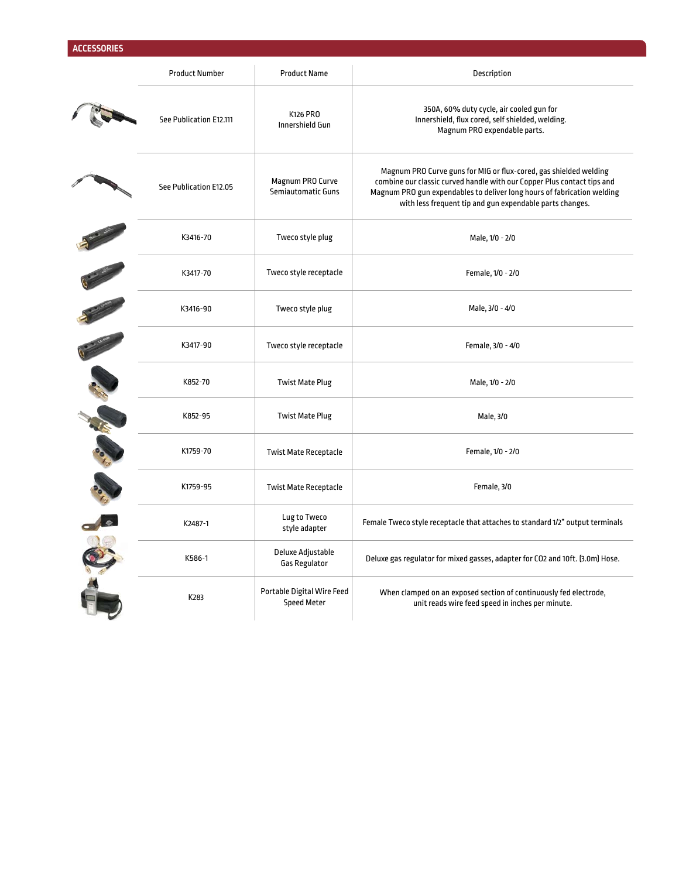|             | <b>Product Number</b>   | <b>Product Name</b>                              | Description                                                                                                                                                                                                                                                                         |
|-------------|-------------------------|--------------------------------------------------|-------------------------------------------------------------------------------------------------------------------------------------------------------------------------------------------------------------------------------------------------------------------------------------|
|             | See Publication E12.111 | K126 PRO<br>Innershield Gun                      | 350A, 60% duty cycle, air cooled gun for<br>Innershield, flux cored, self shielded, welding.<br>Magnum PRO expendable parts.                                                                                                                                                        |
|             | See Publication E12.05  | Magnum PRO Curve<br>Semiautomatic Guns           | Magnum PRO Curve guns for MIG or flux-cored, gas shielded welding<br>combine our classic curved handle with our Copper Plus contact tips and<br>Magnum PRO gun expendables to deliver long hours of fabrication welding<br>with less frequent tip and gun expendable parts changes. |
|             | K3416-70                | Tweco style plug                                 | Male, 1/0 - 2/0                                                                                                                                                                                                                                                                     |
|             | K3417-70                | Tweco style receptacle                           | Female, 1/0 - 2/0                                                                                                                                                                                                                                                                   |
|             | K3416-90                | Tweco style plug                                 | Male, 3/0 - 4/0                                                                                                                                                                                                                                                                     |
|             | K3417-90                | Tweco style receptacle                           | Female, 3/0 - 4/0                                                                                                                                                                                                                                                                   |
| Charles Co. | K852-70                 | <b>Twist Mate Plug</b>                           | Male, 1/0 - 2/0                                                                                                                                                                                                                                                                     |
|             | K852-95                 | <b>Twist Mate Plug</b>                           | Male, 3/0                                                                                                                                                                                                                                                                           |
|             | K1759-70                | <b>Twist Mate Receptacle</b>                     | Female, 1/0 - 2/0                                                                                                                                                                                                                                                                   |
|             | K1759-95                | <b>Twist Mate Receptacle</b>                     | Female, 3/0                                                                                                                                                                                                                                                                         |
|             | K2487-1                 | Lug to Tweco<br>style adapter                    | Female Tweco style receptacle that attaches to standard 1/2" output terminals                                                                                                                                                                                                       |
|             | K586-1                  | Deluxe Adjustable<br><b>Gas Regulator</b>        | Deluxe gas regulator for mixed gasses, adapter for CO2 and 10ft. [3.0m] Hose.                                                                                                                                                                                                       |
|             | K283                    | Portable Digital Wire Feed<br><b>Speed Meter</b> | When clamped on an exposed section of continuously fed electrode,<br>unit reads wire feed speed in inches per minute.                                                                                                                                                               |